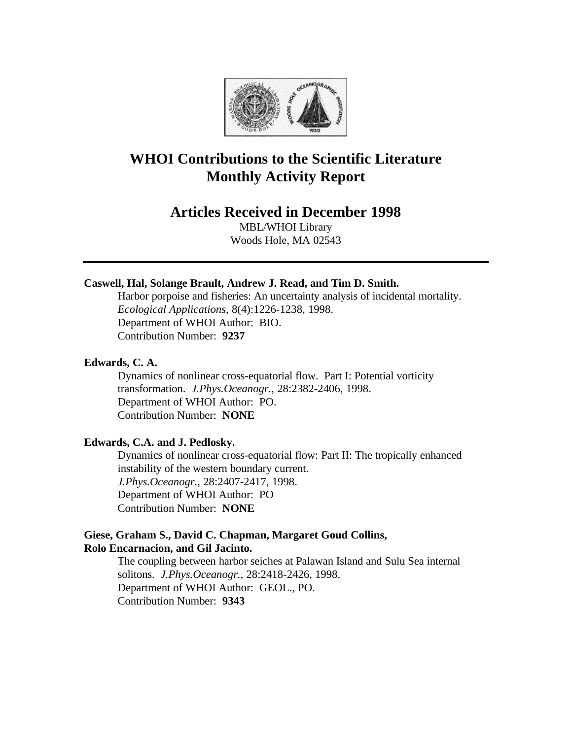

# **WHOI Contributions to the Scientific Literature Monthly Activity Report**

## **Articles Received in December 1998**

MBL/WHOI Library Woods Hole, MA 02543

## **Caswell, Hal, Solange Brault, Andrew J. Read, and Tim D. Smith.**

Harbor porpoise and fisheries: An uncertainty analysis of incidental mortality. *Ecological Applications*, 8(4):1226-1238, 1998. Department of WHOI Author: BIO. Contribution Number: **9237**

### **Edwards, C. A.**

Dynamics of nonlinear cross-equatorial flow. Part I: Potential vorticity transformation. *J.Phys.Oceanogr.*, 28:2382-2406, 1998. Department of WHOI Author: PO. Contribution Number: **NONE**

## **Edwards, C.A. and J. Pedlosky.**

Dynamics of nonlinear cross-equatorial flow: Part II: The tropically enhanced instability of the western boundary current. *J.Phys.Oceanogr.*, 28:2407-2417, 1998. Department of WHOI Author: PO Contribution Number: **NONE**

## **Giese, Graham S., David C. Chapman, Margaret Goud Collins, Rolo Encarnacion, and Gil Jacinto.**

The coupling between harbor seiches at Palawan Island and Sulu Sea internal solitons. *J.Phys.Oceanogr.*, 28:2418-2426, 1998. Department of WHOI Author: GEOL., PO. Contribution Number: **9343**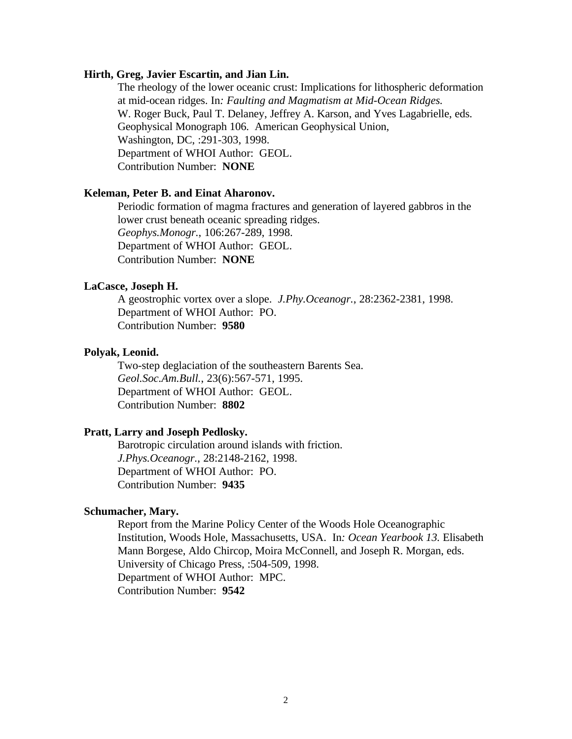#### **Hirth, Greg, Javier Escartin, and Jian Lin.**

The rheology of the lower oceanic crust: Implications for lithospheric deformation at mid-ocean ridges. In*: Faulting and Magmatism at Mid-Ocean Ridges.* W. Roger Buck, Paul T. Delaney, Jeffrey A. Karson, and Yves Lagabrielle, eds. Geophysical Monograph 106. American Geophysical Union, Washington, DC, :291-303, 1998. Department of WHOI Author: GEOL. Contribution Number: **NONE**

#### **Keleman, Peter B. and Einat Aharonov.**

Periodic formation of magma fractures and generation of layered gabbros in the lower crust beneath oceanic spreading ridges. *Geophys.Monogr.*, 106:267-289, 1998. Department of WHOI Author: GEOL. Contribution Number: **NONE**

#### **LaCasce, Joseph H.**

A geostrophic vortex over a slope. *J.Phy.Oceanogr.*, 28:2362-2381, 1998. Department of WHOI Author: PO. Contribution Number: **9580**

#### **Polyak, Leonid.**

Two-step deglaciation of the southeastern Barents Sea. *Geol.Soc.Am.Bull.*, 23(6):567-571, 1995. Department of WHOI Author: GEOL. Contribution Number: **8802**

## **Pratt, Larry and Joseph Pedlosky.**

Barotropic circulation around islands with friction. *J.Phys.Oceanogr.*, 28:2148-2162, 1998. Department of WHOI Author: PO. Contribution Number: **9435**

#### **Schumacher, Mary.**

Report from the Marine Policy Center of the Woods Hole Oceanographic Institution, Woods Hole, Massachusetts, USA. In*: Ocean Yearbook 13.* Elisabeth Mann Borgese, Aldo Chircop, Moira McConnell, and Joseph R. Morgan, eds. University of Chicago Press, :504-509, 1998. Department of WHOI Author: MPC. Contribution Number: **9542**